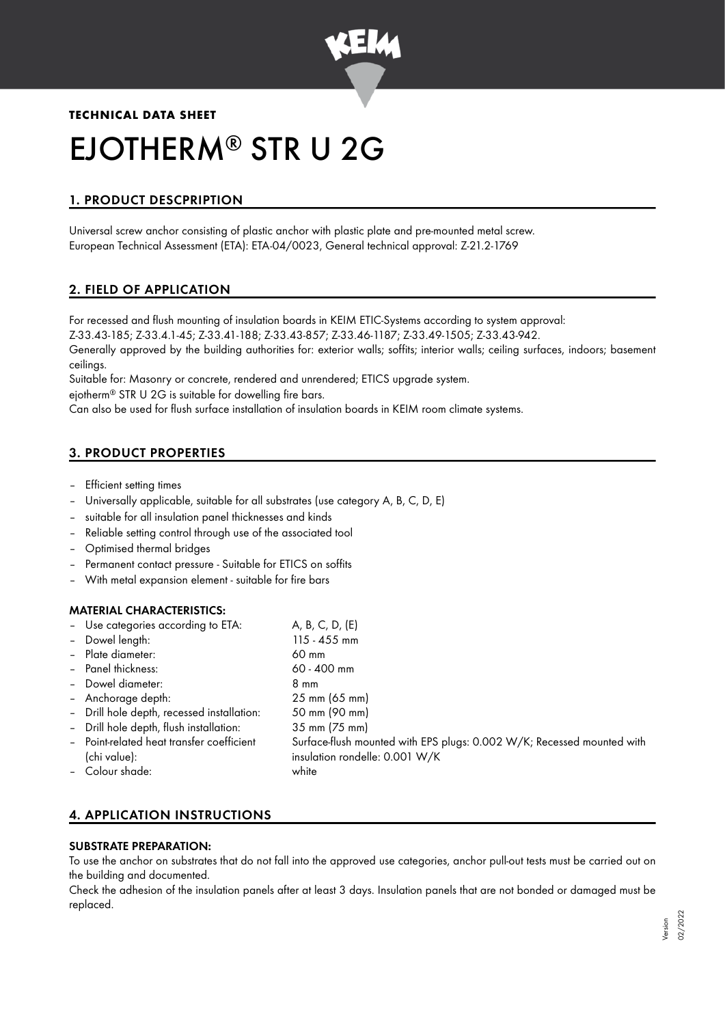

# **TECHNICAL DATA SHEET** EJOTHERM<sup>®</sup> STR U 2G

# 1. PRODUCT DESCPRIPTION

Universal screw anchor consisting of plastic anchor with plastic plate and pre-mounted metal screw. European Technical Assessment (ETA): ETA-04/0023, General technical approval: Z-21.2-1769

# 2. FIELD OF APPLICATION

For recessed and flush mounting of insulation boards in KEIM ETIC-Systems according to system approval: Z-33.43-185; Z-33.4.1-45; Z-33.41-188; Z-33.43-857; Z-33.46-1187; Z-33.49-1505; Z-33.43-942.

Generally approved by the building authorities for: exterior walls; soffits; interior walls; ceiling surfaces, indoors; basement ceilings.

Suitable for: Masonry or concrete, rendered and unrendered; ETICS upgrade system.

ejotherm® STR U 2G is suitable for dowelling fire bars.  $\,$ 

Can also be used for flush surface installation of insulation boards in KEIM room climate systems.

# 3. PRODUCT PROPERTIES

- Efficient setting times
- Universally applicable, suitable for all substrates (use category A, B, C, D, E)
- suitable for all insulation panel thicknesses and kinds
- Reliable setting control through use of the associated tool
- Optimised thermal bridges
- Permanent contact pressure Suitable for ETICS on soffits
- With metal expansion element suitable for fire bars

#### MATERIAL CHARACTERISTICS:

| - Use categories according to ETA:         | A, B, C, D, (E)                                                        |
|--------------------------------------------|------------------------------------------------------------------------|
| - Dowel length:                            | 115 - 455 mm                                                           |
| - Plate diameter:                          | 60 mm                                                                  |
| - Panel thickness:                         | 60 - 400 mm                                                            |
| - Dowel diameter:                          | 8 mm                                                                   |
| - Anchorage depth:                         | 25 mm (65 mm)                                                          |
| - Drill hole depth, recessed installation: | 50 mm (90 mm)                                                          |
| - Drill hole depth, flush installation:    | 35 mm (75 mm)                                                          |
| - Point-related heat transfer coefficient  | Surface-flush mounted with EPS plugs: 0.002 W/K; Recessed mounted with |
| (chi value):                               | insulation rondelle: 0.001 W/K                                         |
| - Colour shade:                            | white                                                                  |
|                                            |                                                                        |

# 4. APPLICATION INSTRUCTIONS

## SUBSTRATE PREPARATION:

To use the anchor on substrates that do not fall into the approved use categories, anchor pull-out tests must be carried out on the building and documented.

Check the adhesion of the insulation panels after at least 3 days. Insulation panels that are not bonded or damaged must be replaced.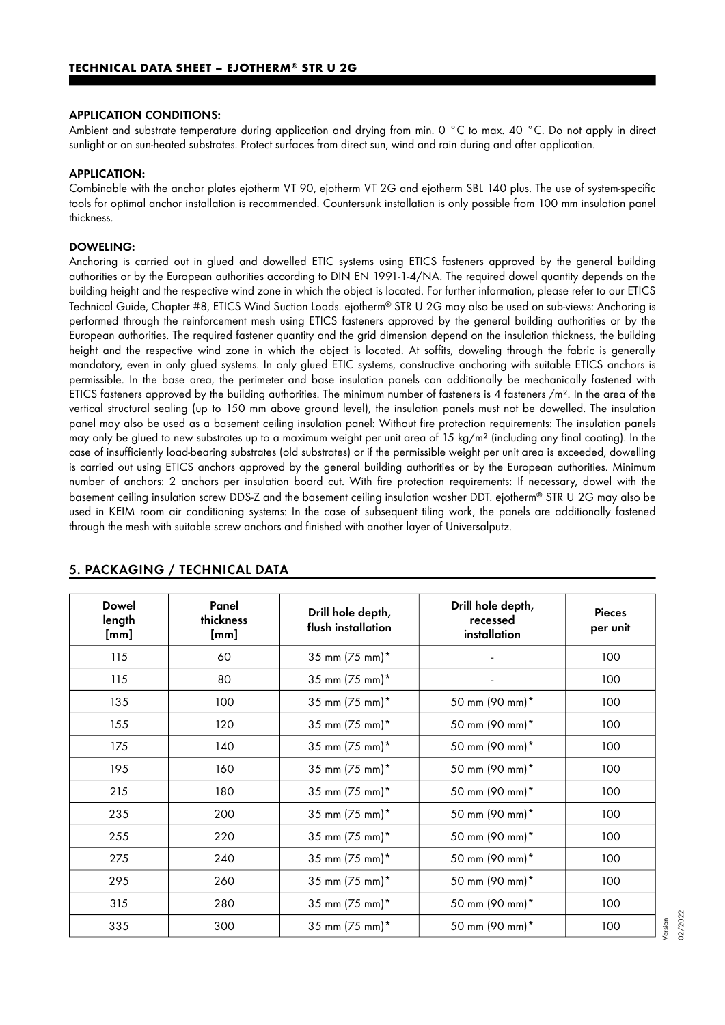#### APPLICATION CONDITIONS:

Ambient and substrate temperature during application and drying from min. 0 °C to max. 40 °C. Do not apply in direct sunlight or on sun-heated substrates. Protect surfaces from direct sun, wind and rain during and after application.

#### APPLICATION:

Combinable with the anchor plates ejotherm VT 90, ejotherm VT 2G and ejotherm SBL 140 plus. The use of system-specific tools for optimal anchor installation is recommended. Countersunk installation is only possible from 100 mm insulation panel thickness.

#### DOWELING:

Anchoring is carried out in glued and dowelled ETIC systems using ETICS fasteners approved by the general building authorities or by the European authorities according to DIN EN 1991-1-4/NA. The required dowel quantity depends on the building height and the respective wind zone in which the object is located. For further information, please refer to our ETICS Technical Guide, Chapter #8, ETICS Wind Suction Loads. ejotherm® STR U 2G may also be used on sub-views: Anchoring is performed through the reinforcement mesh using ETICS fasteners approved by the general building authorities or by the European authorities. The required fastener quantity and the grid dimension depend on the insulation thickness, the building height and the respective wind zone in which the object is located. At soffits, doweling through the fabric is generally mandatory, even in only glued systems. In only glued ETIC systems, constructive anchoring with suitable ETICS anchors is permissible. In the base area, the perimeter and base insulation panels can additionally be mechanically fastened with ETICS fasteners approved by the building authorities. The minimum number of fasteners is 4 fasteners /m<sup>2</sup>. In the area of the vertical structural sealing (up to 150 mm above ground level), the insulation panels must not be dowelled. The insulation panel may also be used as a basement ceiling insulation panel: Without fire protection requirements: The insulation panels may only be glued to new substrates up to a maximum weight per unit area of 15 kg/m² (including any final coating). In the case of insufficiently load-bearing substrates (old substrates) or if the permissible weight per unit area is exceeded, dowelling is carried out using ETICS anchors approved by the general building authorities or by the European authorities. Minimum number of anchors: 2 anchors per insulation board cut. With fire protection requirements: If necessary, dowel with the basement ceiling insulation screw DDS-Z and the basement ceiling insulation washer DDT. ejotherm® STR U 2G may also be used in KEIM room air conditioning systems: In the case of subsequent tiling work, the panels are additionally fastened through the mesh with suitable screw anchors and finished with another layer of Universalputz.

| <b>Dowel</b><br>length<br>[mm] | Panel<br>thickness<br>[mm] | Drill hole depth,<br>flush installation | Drill hole depth,<br>recessed<br>installation | <b>Pieces</b><br>per unit |
|--------------------------------|----------------------------|-----------------------------------------|-----------------------------------------------|---------------------------|
| 115                            | 60                         | 35 mm (75 mm)*                          |                                               | 100                       |
| 115                            | 80                         | 35 mm (75 mm)*                          |                                               | 100                       |
| 135                            | 100                        | 35 mm (75 mm)*                          | 50 mm (90 mm)*                                | 100                       |
| 155                            | 120                        | 35 mm (75 mm)*                          | 50 mm (90 mm)*                                | 100                       |
| 175                            | 140                        | 35 mm (75 mm)*                          | 50 mm (90 mm)*                                | 100                       |
| 195                            | 160                        | 35 mm (75 mm)*                          | 50 mm (90 mm)*                                | 100                       |
| 215                            | 180                        | 35 mm $(75 \text{ mm})^*$               | 50 mm (90 mm)*                                | 100                       |
| 235                            | 200                        | 35 mm (75 mm)*                          | 50 mm (90 mm)*                                | 100                       |
| 255                            | 220                        | 35 mm (75 mm)*                          | 50 mm (90 mm)*                                | 100                       |
| 275                            | 240                        | 35 mm (75 mm)*                          | 50 mm (90 mm)*                                | 100                       |
| 295                            | 260                        | 35 mm (75 mm)*                          | 50 mm (90 mm)*                                | 100                       |
| 315                            | 280                        | 35 mm (75 mm)*                          | 50 mm (90 mm)*                                | 100                       |
| 335                            | 300                        | 35 mm (75 mm)*                          | 50 mm (90 mm)*                                | 100                       |

#### 5. PACKAGING / TECHNICAL DATA

Version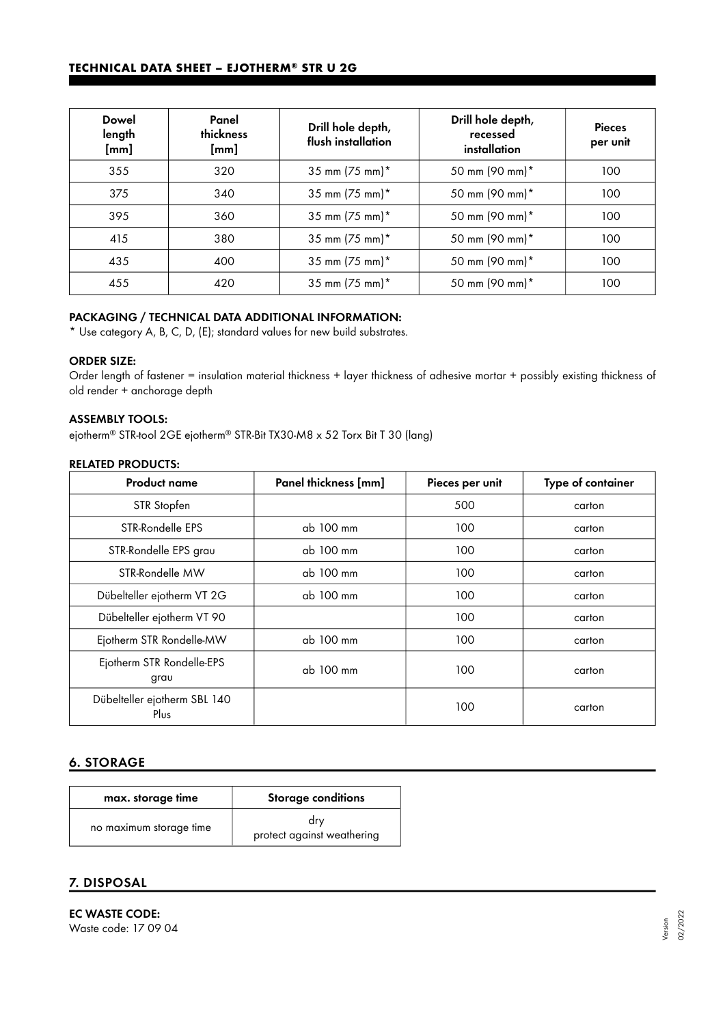#### **TECHNICAL DATA SHEET – EJOTHERM® STR U 2G**

| <b>Dowel</b><br>length<br>[mm] | Panel<br>thickness<br>[mm] | Drill hole depth,<br>flush installation | Drill hole depth,<br>recessed<br>installation | <b>Pieces</b><br>per unit |
|--------------------------------|----------------------------|-----------------------------------------|-----------------------------------------------|---------------------------|
| 355                            | 320                        | 35 mm (75 mm)*                          | 50 mm (90 mm)*                                | 100                       |
| 375                            | 340                        | 35 mm (75 mm)*                          | 50 mm (90 mm)*                                | 100                       |
| 395                            | 360                        | 35 mm (75 mm)*                          | 50 mm (90 mm)*                                | 100                       |
| 415                            | 380                        | 35 mm (75 mm)*                          | 50 mm (90 mm)*                                | 100                       |
| 435                            | 400                        | 35 mm (75 mm)*                          | 50 mm (90 mm)*                                | 100                       |
| 455                            | 420                        | 35 mm (75 mm)*                          | 50 mm (90 mm)*                                | 100                       |

## PACKAGING / TECHNICAL DATA ADDITIONAL INFORMATION:

\* Use category A, B, C, D, (E); standard values for new build substrates.

#### ORDER SIZE:

Order length of fastener = insulation material thickness + layer thickness of adhesive mortar + possibly existing thickness of old render + anchorage depth

#### ASSEMBLY TOOLS:

ejotherm® STR-tool 2GE ejotherm® STR-Bit TX30-M8 x 52 Torx Bit T 30 (lang)

#### RELATED PRODUCTS:

| <b>Product name</b>                  | Panel thickness [mm] | Pieces per unit | Type of container |
|--------------------------------------|----------------------|-----------------|-------------------|
| STR Stopfen                          |                      | 500             | carton            |
| STR-Rondelle EPS                     | ab 100 mm            | 100             | carton            |
| STR-Rondelle EPS grau                | ab 100 mm            | 100             | carton            |
| STR-Rondelle MW                      | ab 100 mm            | 100             | carton            |
| Dübelteller ejotherm VT 2G           | ab 100 mm            | 100             | carton            |
| Dübelteller ejotherm VT 90           |                      | 100             | carton            |
| Ejotherm STR Rondelle-MW             | ab 100 mm            | 100             | carton            |
| Ejotherm STR Rondelle-EPS<br>grau    | ab 100 mm            | 100             | carton            |
| Dübelteller ejotherm SBL 140<br>Plus |                      | 100             | carton            |

### 6. STORAGE

| max. storage time       | <b>Storage conditions</b>         |
|-------------------------|-----------------------------------|
| no maximum storage time | drv<br>protect against weathering |

### 7. DISPOSAL

EC WASTE CODE: Waste code: 17 09 04